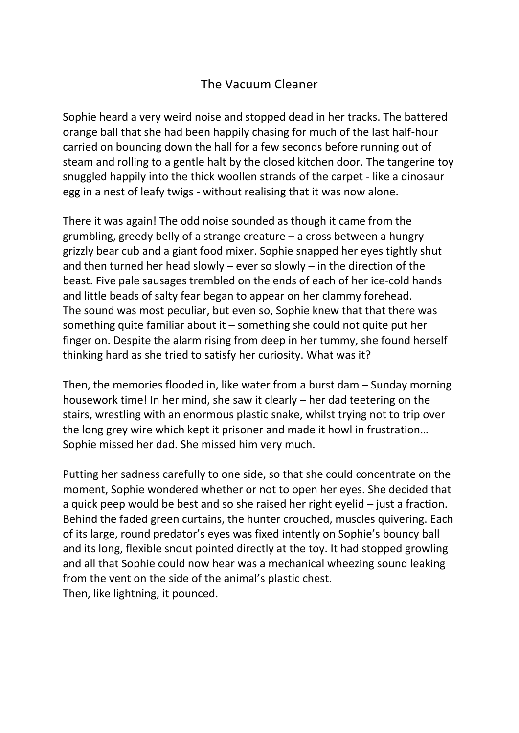## The Vacuum Cleaner

Sophie heard a very weird noise and stopped dead in her tracks. The battered orange ball that she had been happily chasing for much of the last half-hour carried on bouncing down the hall for a few seconds before running out of steam and rolling to a gentle halt by the closed kitchen door. The tangerine toy snuggled happily into the thick woollen strands of the carpet - like a dinosaur egg in a nest of leafy twigs - without realising that it was now alone.

There it was again! The odd noise sounded as though it came from the grumbling, greedy belly of a strange creature – a cross between a hungry grizzly bear cub and a giant food mixer. Sophie snapped her eyes tightly shut and then turned her head slowly – ever so slowly – in the direction of the beast. Five pale sausages trembled on the ends of each of her ice-cold hands and little beads of salty fear began to appear on her clammy forehead. The sound was most peculiar, but even so, Sophie knew that that there was something quite familiar about it – something she could not quite put her finger on. Despite the alarm rising from deep in her tummy, she found herself thinking hard as she tried to satisfy her curiosity. What was it?

Then, the memories flooded in, like water from a burst dam – Sunday morning housework time! In her mind, she saw it clearly – her dad teetering on the stairs, wrestling with an enormous plastic snake, whilst trying not to trip over the long grey wire which kept it prisoner and made it howl in frustration… Sophie missed her dad. She missed him very much.

Putting her sadness carefully to one side, so that she could concentrate on the moment, Sophie wondered whether or not to open her eyes. She decided that a quick peep would be best and so she raised her right eyelid – just a fraction. Behind the faded green curtains, the hunter crouched, muscles quivering. Each of its large, round predator's eyes was fixed intently on Sophie's bouncy ball and its long, flexible snout pointed directly at the toy. It had stopped growling and all that Sophie could now hear was a mechanical wheezing sound leaking from the vent on the side of the animal's plastic chest. Then, like lightning, it pounced.